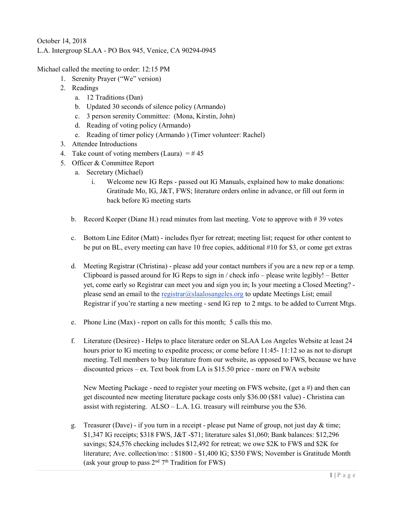## October 14, 2018 L.A. Intergroup SLAA - PO Box 945, Venice, CA 90294-0945

Michael called the meeting to order: 12:15 PM

- 1. Serenity Prayer ("We" version)
- 2. Readings
	- a. 12 Traditions (Dan)
	- b. Updated 30 seconds of silence policy (Armando)
	- c. 3 person serenity Committee: (Mona, Kirstin, John)
	- d. Reading of voting policy (Armando)
	- e. Reading of timer policy (Armando ) (Timer volunteer: Rachel)
- 3. Attendee Introductions
- 4. Take count of voting members (Laura)  $=$  #45
- 5. Officer & Committee Report
	- a. Secretary (Michael)
		- i. Welcome new IG Reps passed out IG Manuals, explained how to make donations: Gratitude Mo, IG, J&T, FWS; literature orders online in advance, or fill out form in back before IG meeting starts
	- b. Record Keeper (Diane H.) read minutes from last meeting. Vote to approve with # 39 votes
	- c. Bottom Line Editor (Matt) includes flyer for retreat; meeting list; request for other content to be put on BL, every meeting can have 10 free copies, additional #10 for \$3, or come get extras
	- d. Meeting Registrar (Christina) please add your contact numbers if you are a new rep or a temp. Clipboard is passed around for IG Reps to sign in / check info – please write legibly! – Better yet, come early so Registrar can meet you and sign you in; Is your meeting a Closed Meeting? please send an email to the registrar $@$ slaalosangeles.org to update Meetings List; email Registrar if you're starting a new meeting - send IG rep to 2 mtgs. to be added to Current Mtgs.
	- e. Phone Line (Max) report on calls for this month; 5 calls this mo.
	- f. Literature (Desiree) Helps to place literature order on SLAA Los Angeles Website at least 24 hours prior to IG meeting to expedite process; or come before 11:45- 11:12 so as not to disrupt meeting. Tell members to buy literature from our website, as opposed to FWS, because we have discounted prices – ex. Text book from LA is \$15.50 price - more on FWA website

New Meeting Package - need to register your meeting on FWS website, (get a #) and then can get discounted new meeting literature package costs only \$36.00 (\$81 value) - Christina can assist with registering. ALSO – L.A. I.G. treasury will reimburse you the \$36.

g. Treasurer (Dave) - if you turn in a receipt - please put Name of group, not just day & time; \$1,347 IG receipts; \$318 FWS, J&T -\$71; literature sales \$1,060; Bank balances: \$12,296 savings; \$24,576 checking includes \$12,492 for retreat; we owe \$2K to FWS and \$2K for literature; Ave. collection/mo: : \$1800 - \$1,400 IG; \$350 FWS; November is Gratitude Month (ask your group to pass  $2<sup>nd</sup> 7<sup>th</sup> Tradition for FWS)$ )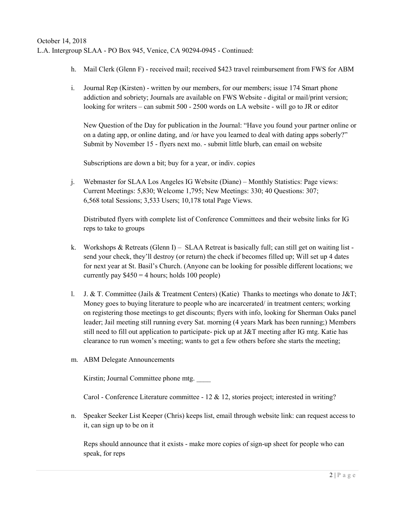- h. Mail Clerk (Glenn F) received mail; received \$423 travel reimbursement from FWS for ABM
- i. Journal Rep (Kirsten) written by our members, for our members; issue 174 Smart phone addiction and sobriety; Journals are available on FWS Website - digital or mail/print version; looking for writers – can submit 500 - 2500 words on LA website - will go to JR or editor

New Question of the Day for publication in the Journal: "Have you found your partner online or on a dating app, or online dating, and /or have you learned to deal with dating apps soberly?" Submit by November 15 - flyers next mo. - submit little blurb, can email on website

Subscriptions are down a bit; buy for a year, or indiv. copies

j. Webmaster for SLAA Los Angeles IG Website (Diane) – Monthly Statistics: Page views: Current Meetings: 5,830; Welcome 1,795; New Meetings: 330; 40 Questions: 307; 6,568 total Sessions; 3,533 Users; 10,178 total Page Views.

Distributed flyers with complete list of Conference Committees and their website links for IG reps to take to groups

- k. Workshops & Retreats (Glenn I) SLAA Retreat is basically full; can still get on waiting list send your check, they'll destroy (or return) the check if becomes filled up; Will set up 4 dates for next year at St. Basil's Church. (Anyone can be looking for possible different locations; we currently pay  $$450 = 4$  hours; holds 100 people)
- l. J. & T. Committee (Jails & Treatment Centers) (Katie) Thanks to meetings who donate to J&T; Money goes to buying literature to people who are incarcerated/ in treatment centers; working on registering those meetings to get discounts; flyers with info, looking for Sherman Oaks panel leader; Jail meeting still running every Sat. morning (4 years Mark has been running;) Members still need to fill out application to participate- pick up at J&T meeting after IG mtg. Katie has clearance to run women's meeting; wants to get a few others before she starts the meeting;
- m. ABM Delegate Announcements

Kirstin; Journal Committee phone mtg.

Carol - Conference Literature committee - 12 & 12, stories project; interested in writing?

n. Speaker Seeker List Keeper (Chris) keeps list, email through website link: can request access to it, can sign up to be on it

Reps should announce that it exists - make more copies of sign-up sheet for people who can speak, for reps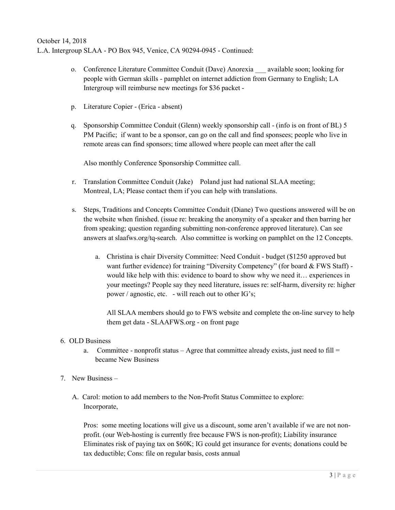- o. Conference Literature Committee Conduit (Dave) Anorexia \_\_\_ available soon; looking for people with German skills - pamphlet on internet addiction from Germany to English; LA Intergroup will reimburse new meetings for \$36 packet -
- p. Literature Copier (Erica absent)
- q. Sponsorship Committee Conduit (Glenn) weekly sponsorship call (info is on front of BL) 5 PM Pacific; if want to be a sponsor, can go on the call and find sponsees; people who live in remote areas can find sponsors; time allowed where people can meet after the call

Also monthly Conference Sponsorship Committee call.

- r. Translation Committee Conduit (Jake) Poland just had national SLAA meeting; Montreal, LA; Please contact them if you can help with translations.
- s. Steps, Traditions and Concepts Committee Conduit (Diane) Two questions answered will be on the website when finished. (issue re: breaking the anonymity of a speaker and then barring her from speaking; question regarding submitting non-conference approved literature). Can see answers at slaafws.org/tq-search. Also committee is working on pamphlet on the 12 Concepts.
	- a. Christina is chair Diversity Committee: Need Conduit budget (\$1250 approved but want further evidence) for training "Diversity Competency" (for board & FWS Staff) would like help with this: evidence to board to show why we need it… experiences in your meetings? People say they need literature, issues re: self-harm, diversity re: higher power / agnostic, etc. - will reach out to other IG's;

All SLAA members should go to FWS website and complete the on-line survey to help them get data - SLAAFWS.org - on front page

## 6. OLD Business

- a. Committee nonprofit status Agree that committee already exists, just need to fill = became New Business
- 7. New Business
	- A. Carol: motion to add members to the Non-Profit Status Committee to explore: Incorporate,

Pros: some meeting locations will give us a discount, some aren't available if we are not nonprofit. (our Web-hosting is currently free because FWS is non-profit); Liability insurance Eliminates risk of paying tax on \$60K; IG could get insurance for events; donations could be tax deductible; Cons: file on regular basis, costs annual